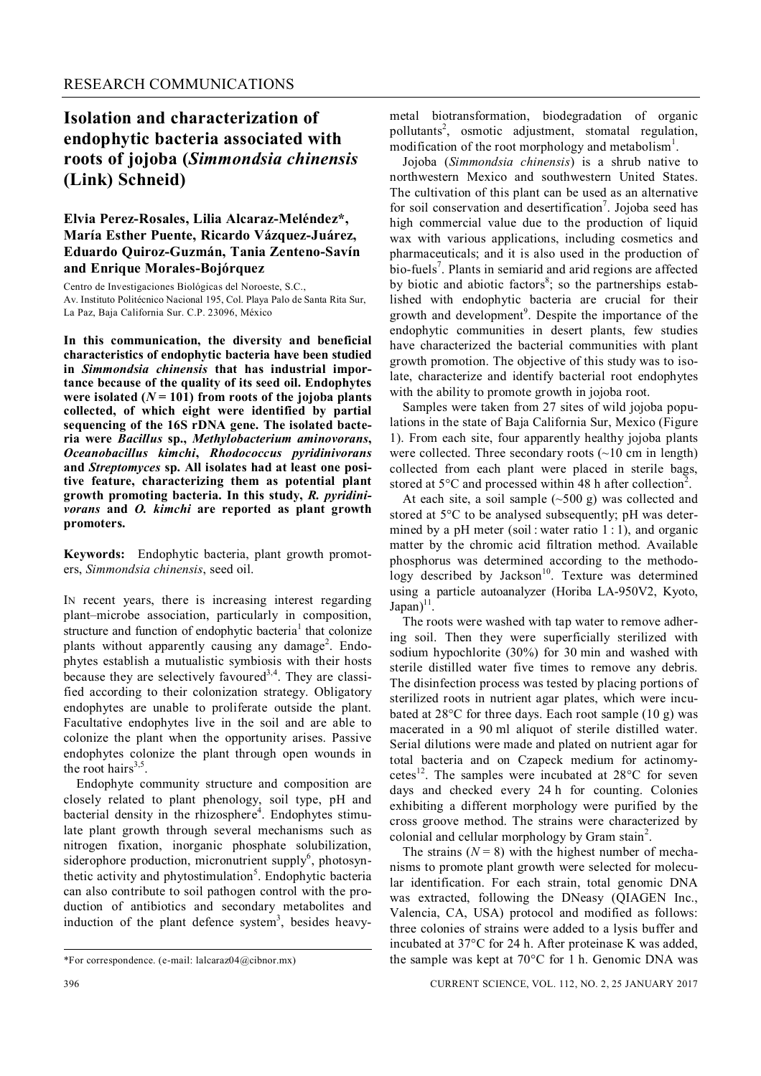## **Isolation and characterization of endophytic bacteria associated with roots of jojoba (***Simmondsia chinensis*  **(Link) Schneid)**

## **Elvia Perez-Rosales, Lilia Alcaraz-Meléndez\*, María Esther Puente, Ricardo Vázquez-Juárez, Eduardo Quiroz-Guzmán, Tania Zenteno-Savín and Enrique Morales-Bojórquez**

Centro de Investigaciones Biológicas del Noroeste, S.C., Av. Instituto Politécnico Nacional 195, Col. Playa Palo de Santa Rita Sur, La Paz, Baja California Sur. C.P. 23096, México

**In this communication, the diversity and beneficial characteristics of endophytic bacteria have been studied in** *Simmondsia chinensis* **that has industrial importance because of the quality of its seed oil. Endophytes**  were isolated  $(N = 101)$  from roots of the jojoba plants **collected, of which eight were identified by partial sequencing of the 16S rDNA gene. The isolated bacteria were** *Bacillus* **sp.,** *Methylobacterium aminovorans***,**  *Oceanobacillus kimchi***,** *Rhodococcus pyridinivorans*  **and** *Streptomyces* **sp. All isolates had at least one positive feature, characterizing them as potential plant growth promoting bacteria. In this study,** *R. pyridinivorans* **and** *O. kimchi* **are reported as plant growth promoters.**

**Keywords:** Endophytic bacteria, plant growth promoters, *Simmondsia chinensis*, seed oil.

IN recent years, there is increasing interest regarding plant–microbe association, particularly in composition, structure and function of endophytic bacteria<sup>1</sup> that colonize plants without apparently causing any damage<sup>2</sup>. Endophytes establish a mutualistic symbiosis with their hosts because they are selectively favoured<sup>3,4</sup>. They are classified according to their colonization strategy. Obligatory endophytes are unable to proliferate outside the plant. Facultative endophytes live in the soil and are able to colonize the plant when the opportunity arises. Passive endophytes colonize the plant through open wounds in the root hairs<sup>3,5</sup>.

Endophyte community structure and composition are closely related to plant phenology, soil type, pH and bacterial density in the rhizosphere<sup>4</sup>. Endophytes stimulate plant growth through several mechanisms such as nitrogen fixation, inorganic phosphate solubilization, siderophore production, micronutrient supply $\delta$ , photosynthetic activity and phytostimulation<sup>5</sup>. Endophytic bacteria can also contribute to soil pathogen control with the production of antibiotics and secondary metabolites and induction of the plant defence system<sup>3</sup>, besides heavymetal biotransformation, biodegradation of organic pollutants<sup>2</sup>, osmotic adjustment, stomatal regulation, modification of the root morphology and metabolism<sup>1</sup>.

Jojoba (*Simmondsia chinensis*) is a shrub native to northwestern Mexico and southwestern United States. The cultivation of this plant can be used as an alternative for soil conservation and desertification<sup>7</sup>. Jojoba seed has high commercial value due to the production of liquid wax with various applications, including cosmetics and pharmaceuticals; and it is also used in the production of bio-fuels<sup>7</sup>. Plants in semiarid and arid regions are affected by biotic and abiotic factors<sup>8</sup>; so the partnerships established with endophytic bacteria are crucial for their growth and development<sup>9</sup>. Despite the importance of the endophytic communities in desert plants, few studies have characterized the bacterial communities with plant growth promotion. The objective of this study was to isolate, characterize and identify bacterial root endophytes with the ability to promote growth in jojoba root.

Samples were taken from 27 sites of wild jojoba populations in the state of Baja California Sur, Mexico (Figure 1). From each site, four apparently healthy jojoba plants were collected. Three secondary roots  $(\sim 10 \text{ cm in length})$ collected from each plant were placed in sterile bags, stored at  $5^{\circ}$ C and processed within 48 h after collection<sup>2</sup>.

At each site, a soil sample  $(\sim 500 \text{ g})$  was collected and stored at  $5^{\circ}$ C to be analysed subsequently; pH was determined by a pH meter (soil : water ratio  $1:1$ ), and organic matter by the chromic acid filtration method. Available phosphorus was determined according to the methodo- $\log y$  described by Jackson<sup>10</sup>. Texture was determined using a particle autoanalyzer (Horiba LA-950V2, Kyoto,  $\text{Japan}$ <sup>11</sup>.

The roots were washed with tap water to remove adhering soil. Then they were superficially sterilized with sodium hypochlorite (30%) for 30 min and washed with sterile distilled water five times to remove any debris. The disinfection process was tested by placing portions of sterilized roots in nutrient agar plates, which were incubated at  $28^{\circ}$ C for three days. Each root sample (10 g) was macerated in a 90 ml aliquot of sterile distilled water. Serial dilutions were made and plated on nutrient agar for total bacteria and on Czapeck medium for actinomycetes<sup>12</sup>. The samples were incubated at  $28^{\circ}$ C for seven days and checked every 24 h for counting. Colonies exhibiting a different morphology were purified by the cross groove method. The strains were characterized by colonial and cellular morphology by Gram stain<sup>2</sup>.

The strains  $(N = 8)$  with the highest number of mechanisms to promote plant growth were selected for molecular identification. For each strain, total genomic DNA was extracted, following the DNeasy (QIAGEN Inc., Valencia, CA, USA) protocol and modified as follows: three colonies of strains were added to a lysis buffer and incubated at 37°C for 24 h. After proteinase K was added, the sample was kept at  $70^{\circ}$ C for 1 h. Genomic DNA was

<sup>\*</sup>For correspondence. (e-mail: lalcaraz04@cibnor.mx)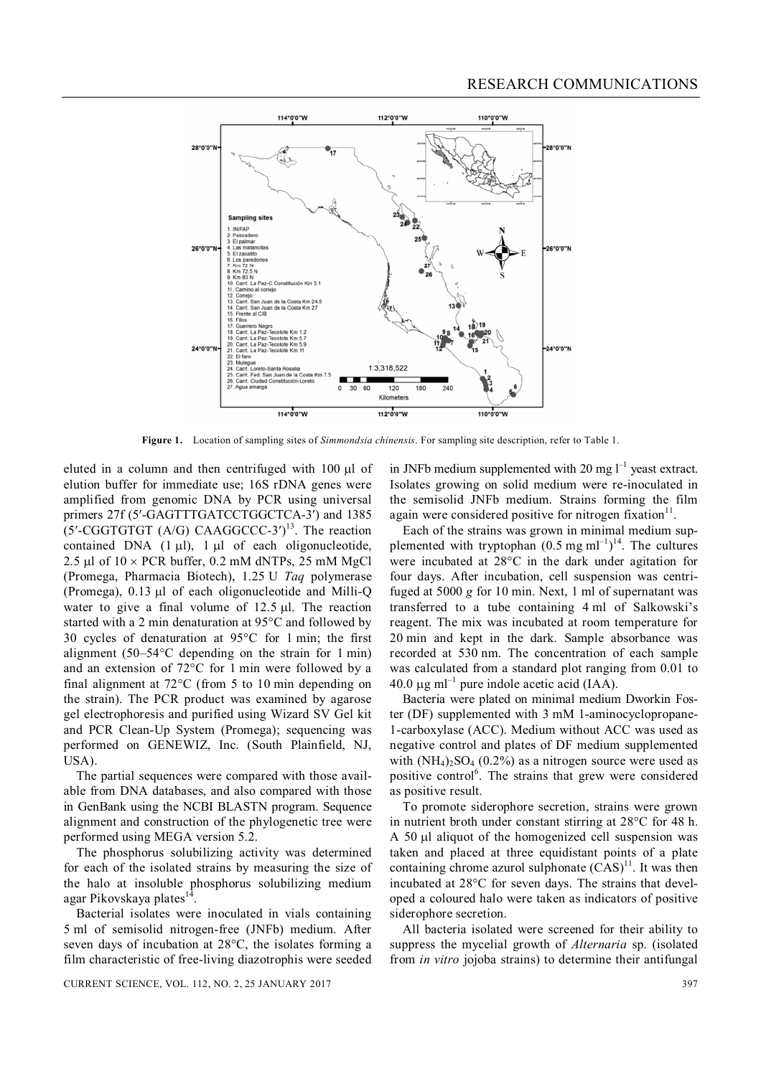

**Figure 1.** Location of sampling sites of *Simmondsia chinensis*. For sampling site description, refer to Table 1.

eluted in a column and then centrifuged with  $100 \mu l$  of elution buffer for immediate use; 16S rDNA genes were amplified from genomic DNA by PCR using universal primers 27f (5'-GAGTTTGATCCTGGCTCA-3') and 1385  $(5'-CGGTGTGT (A/G) CAAGGCCC-3')^{13}$ . The reaction contained DNA  $(1 \mu l)$ ,  $1 \mu l$  of each oligonucleotide, 2.5 µl of  $10 \times PCR$  buffer, 0.2 mM dNTPs, 25 mM MgCl (Promega, Pharmacia Biotech), 1.25 U *Taq* polymerase (Promega),  $0.13 \mu l$  of each oligonucleotide and Milli-Q water to give a final volume of  $12.5 \mu$ . The reaction started with a 2 min denaturation at  $95^{\circ}$ C and followed by 30 cycles of denaturation at  $95^{\circ}$ C for 1 min; the first alignment  $(50-54$ <sup>o</sup>C depending on the strain for 1 min) and an extension of  $72^{\circ}$ C for 1 min were followed by a final alignment at  $72^{\circ}$ C (from 5 to 10 min depending on the strain). The PCR product was examined by agarose gel electrophoresis and purified using Wizard SV Gel kit and PCR Clean-Up System (Promega); sequencing was performed on GENEWIZ, Inc. (South Plainfield, NJ, USA).

The partial sequences were compared with those available from DNA databases, and also compared with those in GenBank using the NCBI BLASTN program. Sequence alignment and construction of the phylogenetic tree were performed using MEGA version 5.2.

The phosphorus solubilizing activity was determined for each of the isolated strains by measuring the size of the halo at insoluble phosphorus solubilizing medium agar Pikovskaya plates<sup>14</sup>.

Bacterial isolates were inoculated in vials containing 5 ml of semisolid nitrogen-free (JNFb) medium. After seven days of incubation at  $28^{\circ}$ C, the isolates forming a film characteristic of free-living diazotrophis were seeded

in JNFb medium supplemented with 20 mg  $I^{-1}$  yeast extract. Isolates growing on solid medium were re-inoculated in the semisolid JNFb medium. Strains forming the film again were considered positive for nitrogen fixation $11$ .

Each of the strains was grown in minimal medium supplemented with tryptophan  $(0.5 \text{ mg ml}^{-1})^{14}$ . The cultures were incubated at  $28^{\circ}$ C in the dark under agitation for four days. After incubation, cell suspension was centrifuged at 5000 *g* for 10 min. Next, 1 ml of supernatant was transferred to a tube containing 4 ml of Salkowski's reagent. The mix was incubated at room temperature for 20 min and kept in the dark. Sample absorbance was recorded at 530 nm. The concentration of each sample was calculated from a standard plot ranging from 0.01 to  $40.0 \,\mathrm{\upmu}\mathrm{g} \,\mathrm{ml}^{-1}$  pure indole acetic acid (IAA).

Bacteria were plated on minimal medium Dworkin Foster (DF) supplemented with 3 mM 1-aminocyclopropane-1-carboxylase (ACC). Medium without ACC was used as negative control and plates of DF medium supplemented with  $(NH_4)_2SO_4$  (0.2%) as a nitrogen source were used as positive control<sup>6</sup>. The strains that grew were considered as positive result.

To promote siderophore secretion, strains were grown in nutrient broth under constant stirring at  $28^{\circ}$ C for 48 h. A 50  $\mu$ l aliquot of the homogenized cell suspension was taken and placed at three equidistant points of a plate containing chrome azurol sulphonate  $(CAS)^{11}$ . It was then incubated at  $28^{\circ}$ C for seven days. The strains that developed a coloured halo were taken as indicators of positive siderophore secretion.

All bacteria isolated were screened for their ability to suppress the mycelial growth of *Alternaria* sp. (isolated from *in vitro* jojoba strains) to determine their antifungal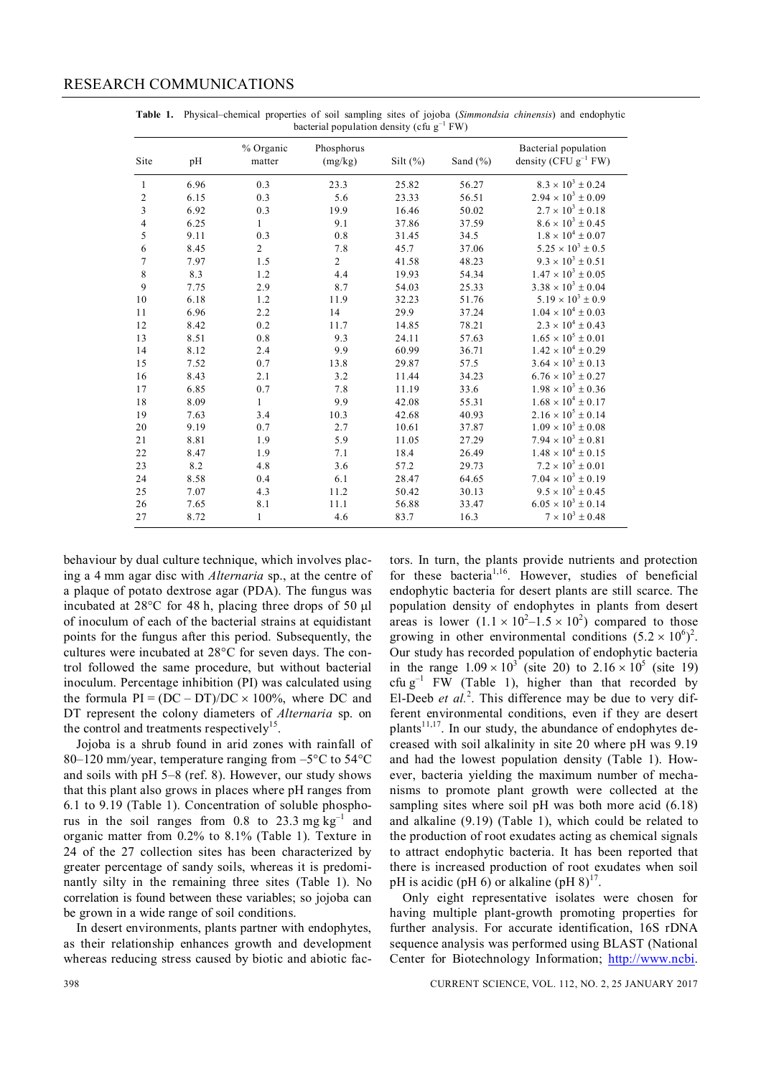| Site           | pH   | % Organic<br>matter | Phosphorus<br>(mg/kg) | Silt $(\%)$ | Sand (%) | Bacterial population<br>density (CFU $g^{-1}$ FW) |
|----------------|------|---------------------|-----------------------|-------------|----------|---------------------------------------------------|
| 1              | 6.96 | $0.3\,$             | 23.3                  | 25.82       | 56.27    | $8.3\times10^3\pm0.24$                            |
| $\overline{c}$ | 6.15 | 0.3                 | 5.6                   | 23.33       | 56.51    | $2.94 \times 10^3 \pm 0.09$                       |
| 3              | 6.92 | 0.3                 | 19.9                  | 16.46       | 50.02    | $2.7\times10^3\pm0.18$                            |
| 4              | 6.25 | $\mathbf{1}$        | 9.1                   | 37.86       | 37.59    | $8.6\times10^3\pm0.45$                            |
| 5              | 9.11 | 0.3                 | $0.8\,$               | 31.45       | 34.5     | $1.8 \times 10^4 \pm 0.07$                        |
| 6              | 8.45 | $\overline{2}$      | 7.8                   | 45.7        | 37.06    | $5.25 \times 10^3 \pm 0.5$                        |
| $\overline{7}$ | 7.97 | 1.5                 | $\overline{c}$        | 41.58       | 48.23    | $9.3 \times 10^3 \pm 0.51$                        |
| 8              | 8.3  | $1.2\,$             | 4.4                   | 19.93       | 54.34    | $1.47 \times 10^3 \pm 0.05$                       |
| 9              | 7.75 | 2.9                 | 8.7                   | 54.03       | 25.33    | $3.38 \times 10^3 \pm 0.04$                       |
| 10             | 6.18 | $1.2\,$             | 11.9                  | 32.23       | 51.76    | $5.19 \times 10^3 \pm 0.9$                        |
| 11             | 6.96 | 2.2                 | 14                    | 29.9        | 37.24    | $1.04 \times 10^4 \pm 0.03$                       |
| 12             | 8.42 | 0.2                 | 11.7                  | 14.85       | 78.21    | $2.3\times10^4\pm0.43$                            |
| 13             | 8.51 | 0.8                 | 9.3                   | 24.11       | 57.63    | $1.65 \times 10^5 \pm 0.01$                       |
| 14             | 8.12 | 2.4                 | 9.9                   | 60.99       | 36.71    | $1.42 \times 10^4 \pm 0.29$                       |
| 15             | 7.52 | 0.7                 | 13.8                  | 29.87       | 57.5     | $3.64 \times 10^3 \pm 0.13$                       |
| 16             | 8.43 | 2.1                 | 3.2                   | 11.44       | 34.23    | $6.76 \times 10^3 \pm 0.27$                       |
| 17             | 6.85 | $0.7\,$             | 7.8                   | 11.19       | 33.6     | $1.98 \times 10^3 \pm 0.36$                       |
| 18             | 8.09 | 1                   | 9.9                   | 42.08       | 55.31    | $1.68 \times 10^4 \pm 0.17$                       |
| 19             | 7.63 | 3.4                 | 10.3                  | 42.68       | 40.93    | $2.16 \times 10^5 \pm 0.14$                       |
| 20             | 9.19 | 0.7                 | 2.7                   | 10.61       | 37.87    | $1.09 \times 10^3 \pm 0.08$                       |
| 21             | 8.81 | 1.9                 | 5.9                   | 11.05       | 27.29    | $7.94 \times 10^3 \pm 0.81$                       |
| 22             | 8.47 | 1.9                 | 7.1                   | 18.4        | 26.49    | $1.48 \times 10^4 \pm 0.15$                       |
| 23             | 8.2  | 4.8                 | 3.6                   | 57.2        | 29.73    | $7.2\times10^3\pm0.01$                            |
| 24             | 8.58 | 0.4                 | 6.1                   | 28.47       | 64.65    | $7.04 \times 10^3 \pm 0.19$                       |
| 25             | 7.07 | 4.3                 | 11.2                  | 50.42       | 30.13    | $9.5 \times 10^3 \pm 0.45$                        |
| 26             | 7.65 | $8.1\,$             | 11.1                  | 56.88       | 33.47    | $6.05 \times 10^3 \pm 0.14$                       |
| 27             | 8.72 | 1                   | 4.6                   | 83.7        | 16.3     | $7 \times 10^3 \pm 0.48$                          |

**Table 1.** Physical–chemical properties of soil sampling sites of jojoba (*Simmondsia chinensis*) and endophytic bacterial population density (cfu  $g^{-1}$  FW)

behaviour by dual culture technique, which involves placing a 4 mm agar disc with *Alternaria* sp., at the centre of a plaque of potato dextrose agar (PDA). The fungus was incubated at  $28^{\circ}$ C for 48 h, placing three drops of 50  $\mu$ l of inoculum of each of the bacterial strains at equidistant points for the fungus after this period. Subsequently, the cultures were incubated at  $28^{\circ}$ C for seven days. The control followed the same procedure, but without bacterial inoculum. Percentage inhibition (PI) was calculated using the formula  $PI = (DC - DT)/DC \times 100\%$ , where DC and DT represent the colony diameters of *Alternaria* sp. on the control and treatments respectively<sup>15</sup>.

Jojoba is a shrub found in arid zones with rainfall of 80–120 mm/year, temperature ranging from  $-5^{\circ}$ C to  $54^{\circ}$ C and soils with pH 5–8 (ref. 8). However, our study shows that this plant also grows in places where pH ranges from 6.1 to 9.19 (Table 1). Concentration of soluble phosphorus in the soil ranges from  $0.8$  to  $23.3 \text{ mg kg}^{-1}$  and organic matter from 0.2% to 8.1% (Table 1). Texture in 24 of the 27 collection sites has been characterized by greater percentage of sandy soils, whereas it is predominantly silty in the remaining three sites (Table 1). No correlation is found between these variables; so jojoba can be grown in a wide range of soil conditions.

In desert environments, plants partner with endophytes, as their relationship enhances growth and development whereas reducing stress caused by biotic and abiotic factors. In turn, the plants provide nutrients and protection for these bacteria<sup>1,16</sup>. However, studies of beneficial endophytic bacteria for desert plants are still scarce. The population density of endophytes in plants from desert areas is lower  $(1.1 \times 10^2 - 1.5 \times 10^2)$  compared to those growing in other environmental conditions  $(5.2 \times 10^6)^2$ . Our study has recorded population of endophytic bacteria in the range  $1.09 \times 10^3$  (site 20) to  $2.16 \times 10^5$  (site 19) cfu  $g^{-1}$  FW (Table 1), higher than that recorded by El-Deeb et al.<sup>2</sup>. This difference may be due to very different environmental conditions, even if they are desert plants<sup>11,17</sup>. In our study, the abundance of endophytes decreased with soil alkalinity in site 20 where pH was 9.19 and had the lowest population density (Table 1). However, bacteria yielding the maximum number of mechanisms to promote plant growth were collected at the sampling sites where soil pH was both more acid  $(6.18)$ and alkaline (9.19) (Table 1), which could be related to the production of root exudates acting as chemical signals to attract endophytic bacteria. It has been reported that there is increased production of root exudates when soil pH is acidic (pH 6) or alkaline (pH  $8)^{17}$ .

Only eight representative isolates were chosen for having multiple plant-growth promoting properties for further analysis. For accurate identification, 16S rDNA sequence analysis was performed using BLAST (National Center for Biotechnology Information; http://www.ncbi.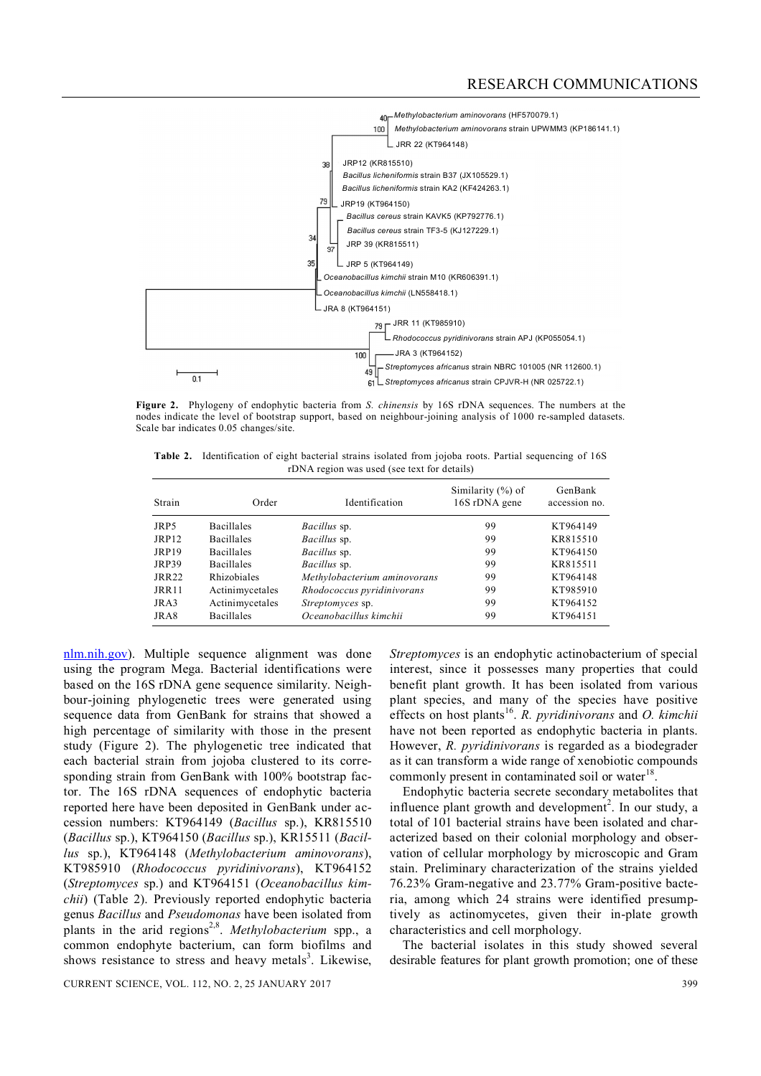

**Figure 2.** Phylogeny of endophytic bacteria from *S. chinensis* by 16S rDNA sequences. The numbers at the nodes indicate the level of bootstrap support, based on neighbour-joining analysis of 1000 re-sampled datasets. Scale bar indicates 0.05 changes/site.

Table 2. Identification of eight bacterial strains isolated from jojoba roots. Partial sequencing of 16S rDNA region was used (see text for details)

| Strain | Order              | Identification               | Similarity $(\%)$ of<br>16S rDNA gene | GenBank<br>accession no. |
|--------|--------------------|------------------------------|---------------------------------------|--------------------------|
| JRP5   | <b>Bacillales</b>  | <i>Bacillus</i> sp.          | 99                                    | KT964149                 |
| JRP12  | <b>Bacillales</b>  | <i>Bacillus</i> sp.          | 99                                    | KR815510                 |
| JRP19  | <b>Bacillales</b>  | Bacillus sp.                 | 99                                    | KT964150                 |
| JRP39  | <b>Bacillales</b>  | Bacillus sp.                 | 99                                    | KR815511                 |
| JRR22  | <b>Rhizobiales</b> | Methylobacterium aminovorans | 99                                    | KT964148                 |
| JRR11  | Actinimycetales    | Rhodococcus pyridinivorans   | 99                                    | KT985910                 |
| JRA3   | Actinimycetales    | Streptomyces sp.             | 99                                    | KT964152                 |
| JRA8   | <b>Bacillales</b>  | Oceanobacillus kimchii       | 99                                    | KT964151                 |

nlm.nih.gov). Multiple sequence alignment was done using the program Mega. Bacterial identifications were based on the 16S rDNA gene sequence similarity. Neighbour-joining phylogenetic trees were generated using sequence data from GenBank for strains that showed a high percentage of similarity with those in the present study (Figure 2). The phylogenetic tree indicated that each bacterial strain from jojoba clustered to its corresponding strain from GenBank with 100% bootstrap factor. The 16S rDNA sequences of endophytic bacteria reported here have been deposited in GenBank under accession numbers: KT964149 (*Bacillus* sp.), KR815510 (*Bacillus* sp.), KT964150 (*Bacillus* sp.), KR15511 (*Bacillus* sp.), KT964148 (*Methylobacterium aminovorans*), KT985910 (*Rhodococcus pyridinivorans*), KT964152 (*Streptomyces* sp.) and KT964151 (*Oceanobacillus kimchii*) (Table 2). Previously reported endophytic bacteria genus *Bacillus* and *Pseudomonas* have been isolated from plants in the arid regions<sup>2,8</sup>. Methylobacterium spp., a common endophyte bacterium, can form biofilms and shows resistance to stress and heavy metals<sup>3</sup>. Likewise,

CURRENT SCIENCE, VOL. 112, NO. 2, 25 JANUARY 2017 399

*Streptomyces* is an endophytic actinobacterium of special interest, since it possesses many properties that could benefit plant growth. It has been isolated from various plant species, and many of the species have positive effects on host plants<sup>16</sup>. R. *pyridinivorans* and *O. kimchii* have not been reported as endophytic bacteria in plants. However, *R. pyridinivorans* is regarded as a biodegrader as it can transform a wide range of xenobiotic compounds commonly present in contaminated soil or water<sup>18</sup>.

Endophytic bacteria secrete secondary metabolites that influence plant growth and development<sup>2</sup>. In our study, a total of 101 bacterial strains have been isolated and characterized based on their colonial morphology and observation of cellular morphology by microscopic and Gram stain. Preliminary characterization of the strains yielded 76.23% Gram-negative and 23.77% Gram-positive bacteria, among which 24 strains were identified presumptively as actinomycetes, given their in-plate growth characteristics and cell morphology.

The bacterial isolates in this study showed several desirable features for plant growth promotion; one of these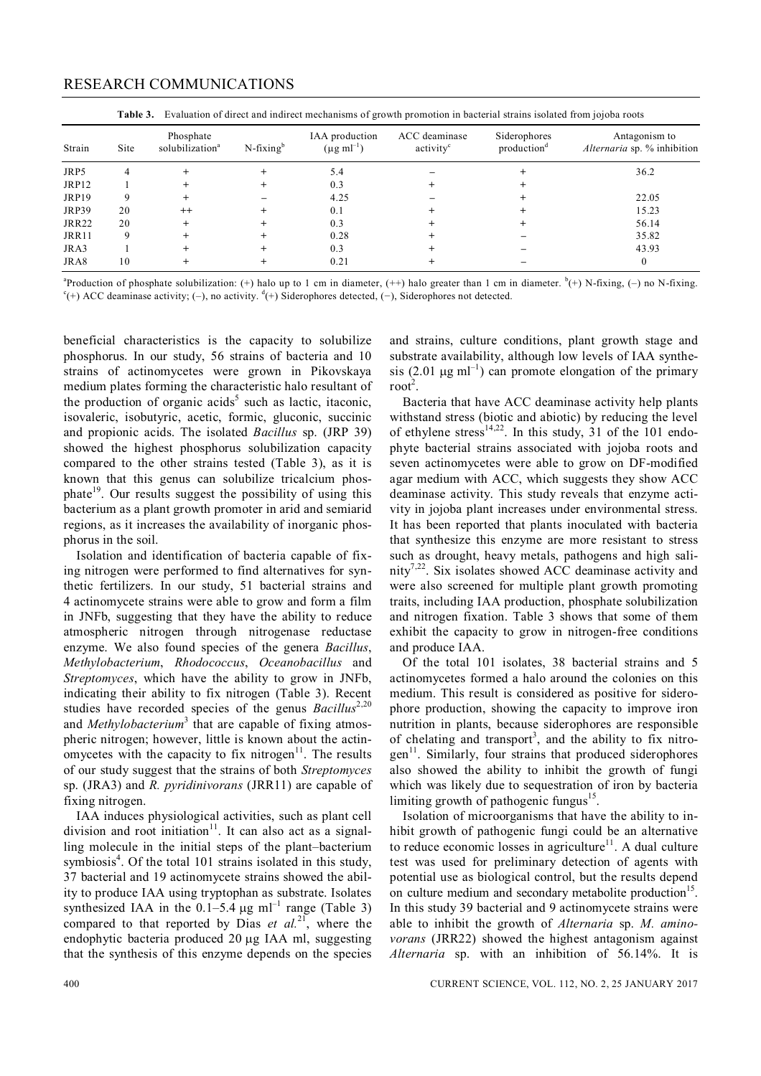## RESEARCH COMMUNICATIONS

| <u>Praianch of allow and mallow modificially of growing promotion in owners challed hour jojoon foots</u> |      |                                          |                 |                                             |                                        |                                         |                                              |
|-----------------------------------------------------------------------------------------------------------|------|------------------------------------------|-----------------|---------------------------------------------|----------------------------------------|-----------------------------------------|----------------------------------------------|
| Strain                                                                                                    | Site | Phosphate<br>solubilization <sup>a</sup> | $N$ -fixing $b$ | IAA production<br>$(\mu g \text{ ml}^{-1})$ | ACC deaminase<br>activity <sup>c</sup> | Siderophores<br>production <sup>d</sup> | Antagonism to<br>Alternaria sp. % inhibition |
| JRP5                                                                                                      |      |                                          |                 | 5.4                                         |                                        |                                         | 36.2                                         |
| JRP12                                                                                                     |      |                                          |                 | 0.3                                         |                                        |                                         |                                              |
| JRP19                                                                                                     |      |                                          |                 | 4.25                                        |                                        |                                         | 22.05                                        |
| JRP39                                                                                                     | 20   | $^{++}$                                  |                 | 0.1                                         |                                        |                                         | 15.23                                        |
| <b>JRR22</b>                                                                                              | 20   |                                          |                 | 0.3                                         |                                        |                                         | 56.14                                        |
| JRR11                                                                                                     | 9    |                                          |                 | 0.28                                        |                                        |                                         | 35.82                                        |
| JRA3                                                                                                      |      |                                          |                 | 0.3                                         |                                        |                                         | 43.93                                        |
| JRA8                                                                                                      | 10   |                                          |                 | 0.21                                        |                                        |                                         |                                              |

**Table 3.** Evaluation of direct and indirect mechanisms of growth promotion in bacterial strains isolated from jojoba roots

<sup>a</sup>Production of phosphate solubilization: (+) halo up to 1 cm in diameter, (++) halo greater than 1 cm in diameter.  $b$ <sup>t</sup>+) N-fixing, (-) no N-fixing. <sup>c</sup>(+) ACC deaminase activity; (-), no activity. <sup>d</sup>(+) Siderophores detected, (-), Siderophores not detected.

beneficial characteristics is the capacity to solubilize phosphorus. In our study, 56 strains of bacteria and 10 strains of actinomycetes were grown in Pikovskaya medium plates forming the characteristic halo resultant of the production of organic acids<sup>5</sup> such as lactic, itaconic, isovaleric, isobutyric, acetic, formic, gluconic, succinic and propionic acids. The isolated *Bacillus* sp. (JRP 39) showed the highest phosphorus solubilization capacity compared to the other strains tested (Table 3), as it is known that this genus can solubilize tricalcium phosphate<sup>19</sup>. Our results suggest the possibility of using this bacterium as a plant growth promoter in arid and semiarid regions, as it increases the availability of inorganic phosphorus in the soil.

Isolation and identification of bacteria capable of fixing nitrogen were performed to find alternatives for synthetic fertilizers. In our study, 51 bacterial strains and 4 actinomycete strains were able to grow and form a film in JNFb, suggesting that they have the ability to reduce atmospheric nitrogen through nitrogenase reductase enzyme. We also found species of the genera *Bacillus*, *Methylobacterium*, *Rhodococcus*, *Oceanobacillus* and *Streptomyces*, which have the ability to grow in JNFb, indicating their ability to fix nitrogen (Table 3). Recent studies have recorded species of the genus *Bacillus*<sup>2,20</sup> and *Methylobacterium*<sup>3</sup> that are capable of fixing atmospheric nitrogen; however, little is known about the actinomycetes with the capacity to fix nitrogen $11$ . The results of our study suggest that the strains of both *Streptomyces* sp. (JRA3) and *R. pyridinivorans* (JRR11) are capable of fixing nitrogen.

IAA induces physiological activities, such as plant cell division and root initiation<sup>11</sup>. It can also act as a signalling molecule in the initial steps of the plant–bacterium symbiosis<sup>4</sup>. Of the total 101 strains isolated in this study, 37 bacterial and 19 actinomycete strains showed the ability to produce IAA using tryptophan as substrate. Isolates synthesized IAA in the  $0.1-5.4 \mu g$  ml<sup>-1</sup> range (Table 3) compared to that reported by Dias  $et \ al.<sup>21</sup>$ , where the endophytic bacteria produced  $20 \mu$ g IAA ml, suggesting that the synthesis of this enzyme depends on the species

and strains, culture conditions, plant growth stage and substrate availability, although low levels of IAA synthesis  $(2.01 \mu g \text{ m}^{-1})$  can promote elongation of the primary root<sup>2</sup>.

Bacteria that have ACC deaminase activity help plants withstand stress (biotic and abiotic) by reducing the level of ethylene stress $14,22$ . In this study, 31 of the 101 endophyte bacterial strains associated with jojoba roots and seven actinomycetes were able to grow on DF-modified agar medium with ACC, which suggests they show ACC deaminase activity. This study reveals that enzyme activity in jojoba plant increases under environmental stress. It has been reported that plants inoculated with bacteria that synthesize this enzyme are more resistant to stress such as drought, heavy metals, pathogens and high salinity<sup>7,22</sup>. Six isolates showed ACC deaminase activity and were also screened for multiple plant growth promoting traits, including IAA production, phosphate solubilization and nitrogen fixation. Table 3 shows that some of them exhibit the capacity to grow in nitrogen-free conditions and produce IAA.

Of the total 101 isolates, 38 bacterial strains and 5 actinomycetes formed a halo around the colonies on this medium. This result is considered as positive for siderophore production, showing the capacity to improve iron nutrition in plants, because siderophores are responsible of chelating and transport<sup>3</sup>, and the ability to fix nitrogen<sup>11</sup>. Similarly, four strains that produced siderophores also showed the ability to inhibit the growth of fungi which was likely due to sequestration of iron by bacteria limiting growth of pathogenic fungus<sup>15</sup>.

Isolation of microorganisms that have the ability to inhibit growth of pathogenic fungi could be an alternative to reduce economic losses in agriculture $11$ . A dual culture test was used for preliminary detection of agents with potential use as biological control, but the results depend on culture medium and secondary metabolite production<sup>15</sup>. In this study 39 bacterial and 9 actinomycete strains were able to inhibit the growth of *Alternaria* sp. *M. aminovorans* (JRR22) showed the highest antagonism against *Alternaria* sp. with an inhibition of 56.14%. It is